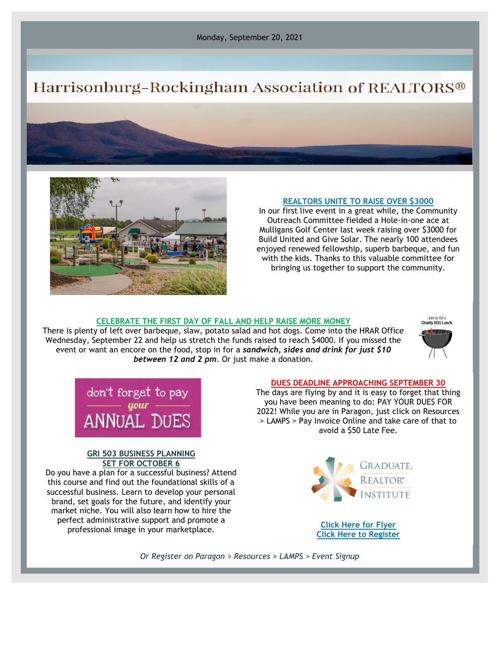# Harrisonburg-Rockingham Association of REALTORS®



#### **REALTORS UNITE TO RAISE OVER \$3000**

In our first live event in a great while, the Community Outreach Committee fielded a Hole-in-one ace at Mulligans Golf Center last week raising over \$3000 for Build United and Give Solar. The nearly 100 attendees enjoyed renewed fellowship, superb barbeque, and fun with the kids. Thanks to this valuable committee for bringing us together to support the community.

## **CELEBRATE THE FIRST DAY OF FALL AND HELP RAISE MORE MONEY**

There is plenty of left over barbeque, slaw, potato salad and hot dogs. Come into the HRAR Office Wednesday, September 22 and help us stretch the funds raised to reach \$4000. If you missed the event or want an encore on the food, stop in for a *sandwich, sides and drink for just \$10 between 12 and 2 pm*. Or just make a donation.





#### **GRI 503 BUSINESS PLANNING SET FOR OCTOBER 6**

Do you have a plan for a successful business? Attend this course and find out the foundational skills of a successful business. Learn to develop your personal brand, set goals for the future, and identify your market niche. You will also learn how to hire the perfect administrative support and promote a professional image in your marketplace. **[Click Here for Flyer](https://files.constantcontact.com/917f92b5101/e1cc03d9-4bfa-416f-8508-59994577fe1b.pdf)**

#### **DUES DEADLINE APPROACHING SEPTEMBER 30**

The days are flying by and it is easy to forget that thing you have been meaning to do: PAY YOUR DUES FOR 2022! While you are in Paragon, just click on Resources > LAMPS > Pay Invoice Online and take care of that to avoid a \$50 Late Fee.



**[Click Here to Register](https://hrar.getlamps.net/)**

*Or Register on Paragon > Resources > LAMPS > Event Signup*